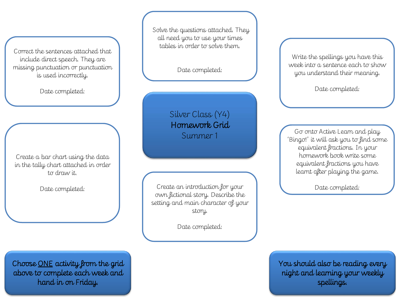Correct the sentences attached that include direct speech. They are missing punctuation or punctuation is used incorrectly.

Date completed:

Create a bar chart using the data in the tally chart attached in order to draw it.

Date completed:

Solve the questions attached. They all need you to use your times tables in order to solve them.

Date completed:

Silver Class (Y4) Homework Grid Summer 1

Create an introduction for your own fictional story. Describe the setting and main character of your story.

Date completed:

Write the spellings you have this week into a sentence each to show you understand their meaning.

Date completed:

Go onto Active Learn and play 'Bingo!' it will ask you to find some equivalent fractions. In your homework book write some equivalent fractions you have learnt after playing the game.

Date completed:

You should also be reading every night and learning your weekly spellings.

Choose ONE activity from the grid above to complete each week and hand in on Friday.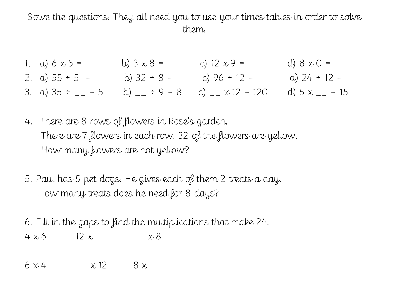Solve the questions. They all need you to use your times tables in order to solve them.

- 1. a)  $6 \times 5 =$  b)  $3 \times 8 =$  c)  $12 \times 9 =$  d)  $8 \times 0 =$ 2. a)  $55 \div 5 =$  b)  $32 \div 8 =$  c)  $96 \div 12 =$  d)  $24 \div 12 =$ 3. a)  $35 \div \underline{\hspace{1cm}} = 5$  b)  $\underline{\hspace{1cm}} \div 9 = 8$  c)  $\underline{\hspace{1cm}} \times 12 = 120$  d)  $5 \times \underline{\hspace{1cm}} = 15$
- 4. There are 8 rows of flowers in Rose's garden. There are 7 flowers in each row. 32 of the flowers are yellow. How many flowers are not yellow?
- 5. Paul has 5 pet dogs. He gives each of them 2 treats a day. How many treats does he need for 8 days?

6. Fill in the gaps to find the multiplications that make 24.  $4 \times 6$  12  $x_{--}$   $-x8$ 

 $6 \times 4$   $- x 12$   $8 \times -$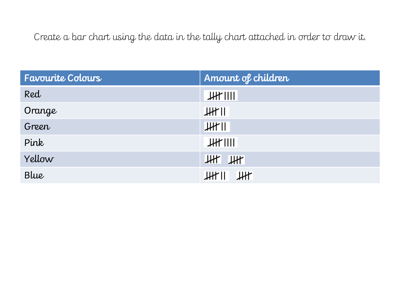Create a bar chart using the data in the tally chart attached in order to draw it.

| Favourite Colours | Amount of children      |
|-------------------|-------------------------|
| Red               | H                       |
| Orange            | $JH^*$ II               |
| Green             | JH                      |
| Pink              | $JH^*$ $    $           |
| Yellow            | $ $ $\mu$ $ $ $\mu$ $ $ |
| Blue              | $JH^*$ $I$ $JH^*$       |